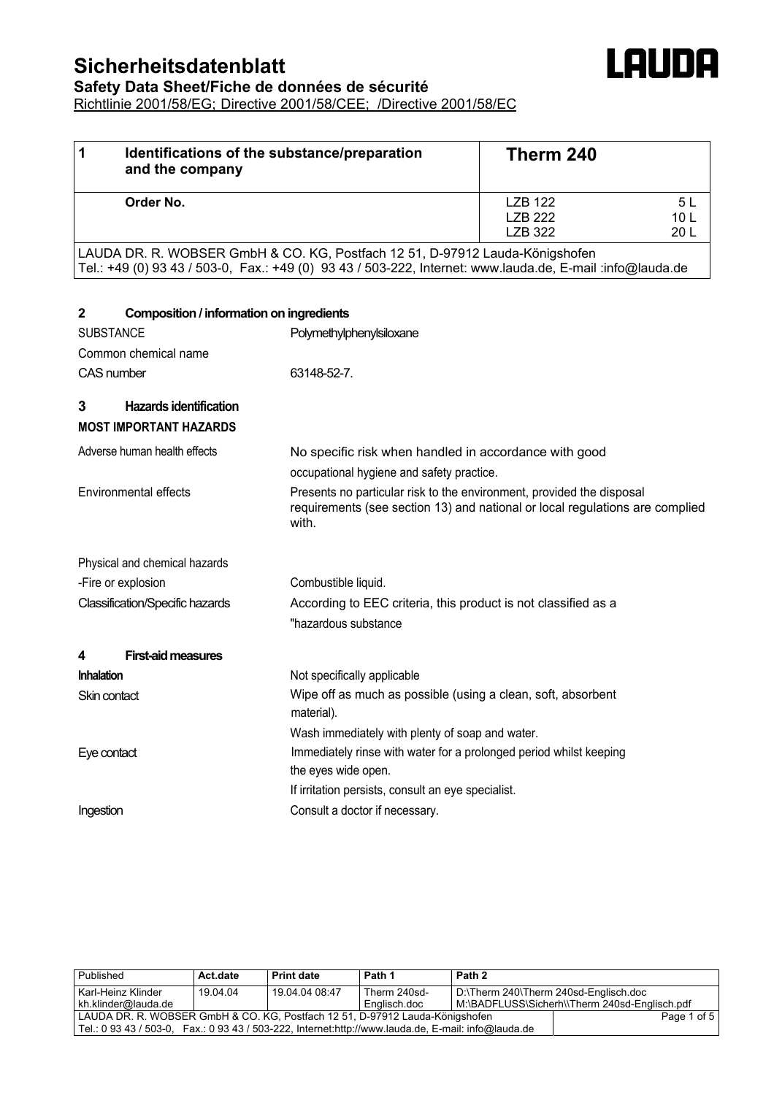# **Sicherheitsdatenblatt**

| Identifications of the substance/preparation<br>1<br>and the company | Therm 240                            |                                           |  |
|----------------------------------------------------------------------|--------------------------------------|-------------------------------------------|--|
| Order No.                                                            | LZB 122<br>LZB 222<br><b>LZB 322</b> | 5 L<br>10 <sub>L</sub><br>20 <sub>L</sub> |  |

LAUDA

LAUDA DR. R. WOBSER GmbH & CO. KG, Postfach 12 51, D-97912 Lauda-Königshofen Tel.: +49 (0) 93 43 / 503-0, Fax.: +49 (0) 93 43 / 503-222, Internet: www.lauda.de, E-mail :info@lauda.de

| $\mathbf{2}$      | Composition / information on ingredients                       |                                                                                                                                                                |  |  |  |  |
|-------------------|----------------------------------------------------------------|----------------------------------------------------------------------------------------------------------------------------------------------------------------|--|--|--|--|
| <b>SUBSTANCE</b>  |                                                                | Polymethylphenylsiloxane                                                                                                                                       |  |  |  |  |
|                   | Common chemical name                                           |                                                                                                                                                                |  |  |  |  |
| CAS number        |                                                                | 63148-52-7.                                                                                                                                                    |  |  |  |  |
| 3                 | <b>Hazards identification</b><br><b>MOST IMPORTANT HAZARDS</b> |                                                                                                                                                                |  |  |  |  |
|                   | Adverse human health effects                                   | No specific risk when handled in accordance with good                                                                                                          |  |  |  |  |
|                   |                                                                | occupational hygiene and safety practice.                                                                                                                      |  |  |  |  |
|                   | Environmental effects                                          | Presents no particular risk to the environment, provided the disposal<br>requirements (see section 13) and national or local regulations are complied<br>with. |  |  |  |  |
|                   | Physical and chemical hazards                                  |                                                                                                                                                                |  |  |  |  |
|                   | -Fire or explosion                                             | Combustible liquid.                                                                                                                                            |  |  |  |  |
|                   | <b>Classification/Specific hazards</b>                         | According to EEC criteria, this product is not classified as a                                                                                                 |  |  |  |  |
|                   |                                                                | "hazardous substance                                                                                                                                           |  |  |  |  |
| 4                 | <b>First-aid measures</b>                                      |                                                                                                                                                                |  |  |  |  |
| <b>Inhalation</b> |                                                                | Not specifically applicable                                                                                                                                    |  |  |  |  |
| Skin contact      |                                                                | Wipe off as much as possible (using a clean, soft, absorbent<br>material).                                                                                     |  |  |  |  |
| Eye contact       |                                                                | Wash immediately with plenty of soap and water.<br>Immediately rinse with water for a prolonged period whilst keeping                                          |  |  |  |  |
|                   |                                                                | the eyes wide open.<br>If irritation persists, consult an eye specialist.                                                                                      |  |  |  |  |
| Ingestion         |                                                                | Consult a doctor if necessary.                                                                                                                                 |  |  |  |  |

| Published                                                                                           | Act date | <b>Print date</b> | Path 1       | Path 2                                |                                               |
|-----------------------------------------------------------------------------------------------------|----------|-------------------|--------------|---------------------------------------|-----------------------------------------------|
| Karl-Heinz Klinder                                                                                  | 19.04.04 | 19.04.04.08:47    | Therm 240sd- | D:\Therm 240\Therm 240sd-Englisch.doc |                                               |
| kh.klinder@lauda.de                                                                                 |          |                   | Englisch.doc |                                       | M:\BADFLUSS\Sicherh\\Therm 240sd-Englisch.pdf |
| LAUDA DR. R. WOBSER GmbH & CO. KG, Postfach 12 51, D-97912 Lauda-Königshofen                        |          |                   |              |                                       | Page 1 of 5                                   |
| Tel.: 0 93 43 / 503-0, Fax.: 0 93 43 / 503-222, Internet:http://www.lauda.de, E-mail: info@lauda.de |          |                   |              |                                       |                                               |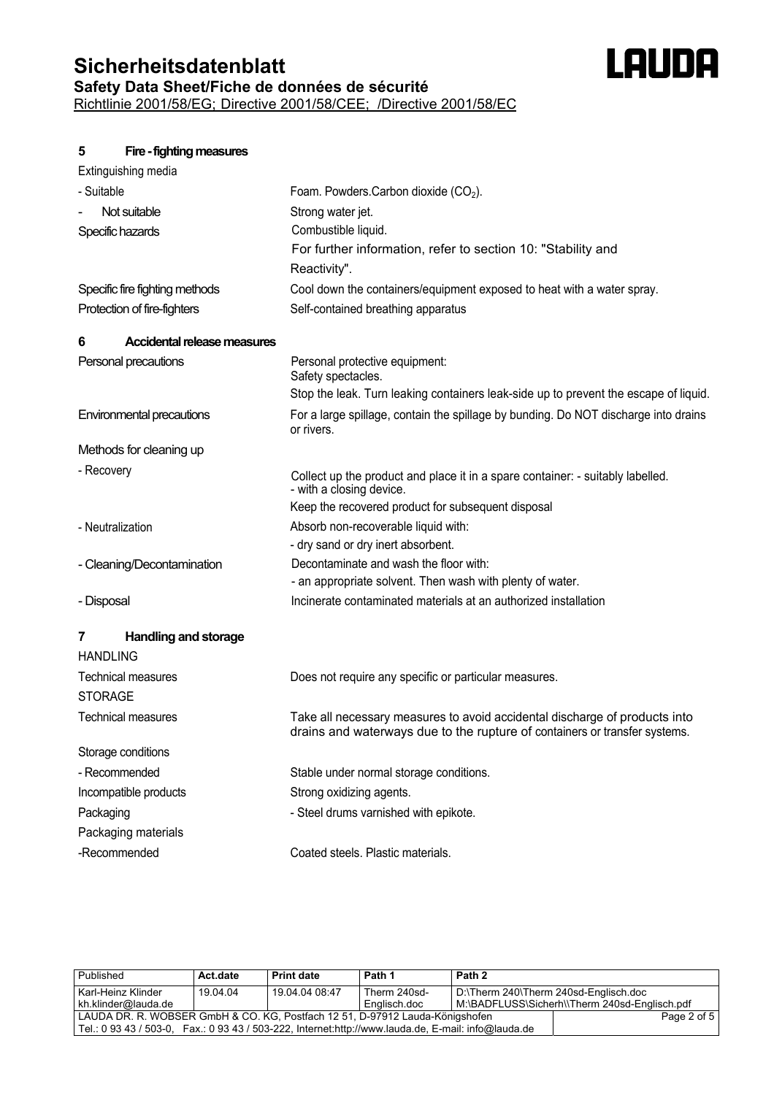## **Sicherheitsdatenblatt Safety Data Sheet/Fiche de données de sécurité** Richtlinie 2001/58/EG; Directive 2001/58/CEE; /Directive 2001/58/EC



| Extinguishing media                     |                                                                                                                                                          |
|-----------------------------------------|----------------------------------------------------------------------------------------------------------------------------------------------------------|
| - Suitable                              | Foam. Powders. Carbon dioxide $(CO2)$ .                                                                                                                  |
| Not suitable                            | Strong water jet.                                                                                                                                        |
| Specific hazards                        | Combustible liquid.                                                                                                                                      |
|                                         | For further information, refer to section 10: "Stability and                                                                                             |
|                                         | Reactivity".                                                                                                                                             |
| Specific fire fighting methods          | Cool down the containers/equipment exposed to heat with a water spray.                                                                                   |
| Protection of fire-fighters             | Self-contained breathing apparatus                                                                                                                       |
| <b>Accidental release measures</b><br>6 |                                                                                                                                                          |
| Personal precautions                    | Personal protective equipment:<br>Safety spectacles.                                                                                                     |
|                                         | Stop the leak. Turn leaking containers leak-side up to prevent the escape of liquid.                                                                     |
| Environmental precautions               | For a large spillage, contain the spillage by bunding. Do NOT discharge into drains<br>or rivers.                                                        |
| Methods for cleaning up                 |                                                                                                                                                          |
| - Recovery                              | Collect up the product and place it in a spare container: - suitably labelled.<br>- with a closing device.                                               |
|                                         | Keep the recovered product for subsequent disposal                                                                                                       |
| - Neutralization                        | Absorb non-recoverable liquid with:                                                                                                                      |
|                                         | - dry sand or dry inert absorbent.                                                                                                                       |
| - Cleaning/Decontamination              | Decontaminate and wash the floor with:                                                                                                                   |
|                                         | - an appropriate solvent. Then wash with plenty of water.                                                                                                |
| - Disposal                              | Incinerate contaminated materials at an authorized installation                                                                                          |
| <b>Handling and storage</b><br>7        |                                                                                                                                                          |
| <b>HANDLING</b>                         |                                                                                                                                                          |
| <b>Technical measures</b>               | Does not require any specific or particular measures.                                                                                                    |
| <b>STORAGE</b>                          |                                                                                                                                                          |
| <b>Technical measures</b>               | Take all necessary measures to avoid accidental discharge of products into<br>drains and waterways due to the rupture of containers or transfer systems. |
| Storage conditions                      |                                                                                                                                                          |
| - Recommended                           | Stable under normal storage conditions.                                                                                                                  |
| Incompatible products                   | Strong oxidizing agents.                                                                                                                                 |
| Packaging                               | - Steel drums varnished with epikote.                                                                                                                    |
| Packaging materials                     |                                                                                                                                                          |
| -Recommended                            | Coated steels. Plastic materials.                                                                                                                        |

**LAUDA** 

| Published                                                                                            | Act.date | <b>Print date</b> | Path 1       | Path 2                                        |             |
|------------------------------------------------------------------------------------------------------|----------|-------------------|--------------|-----------------------------------------------|-------------|
| Karl-Heinz Klinder                                                                                   | 19.04.04 | 19.04.04.08:47    | Therm 240sd- | D:\Therm 240\Therm 240sd-Englisch.doc         |             |
| kh.klinder@lauda.de                                                                                  |          |                   | Englisch.doc | M:\BADFLUSS\Sicherh\\Therm 240sd-Englisch.pdf |             |
| LAUDA DR. R. WOBSER GmbH & CO. KG. Postfach 12 51, D-97912 Lauda-Königshofen                         |          |                   |              |                                               | Page 2 of 5 |
| Tel.: 0 93 43 / 503-0, Fax.: 0 93 43 / 503-222, Internet: http://www.lauda.de, E-mail: info@lauda.de |          |                   |              |                                               |             |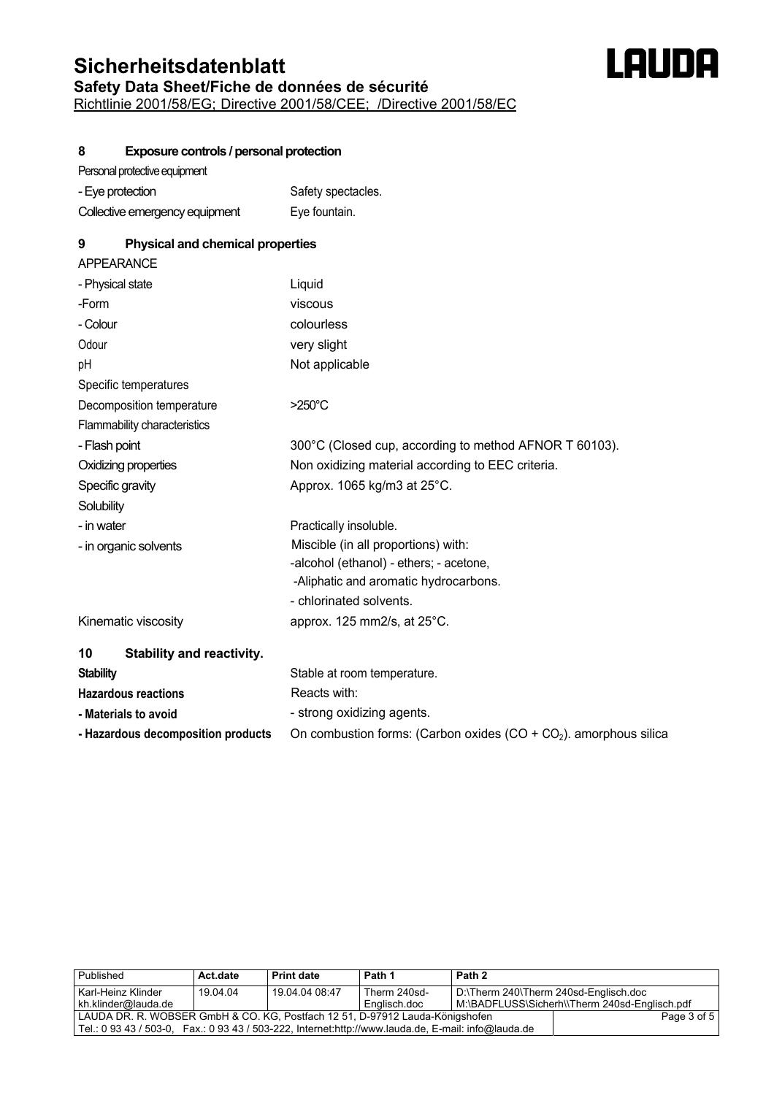### **Sicherheitsdatenblatt Safety Data Sheet/Fiche de données de sécurité** Richtlinie 2001/58/EG; Directive 2001/58/CEE; /Directive 2001/58/EC



#### **8 Exposure controls / personal protection**

| - Eye protection               | Safety spectacles. |
|--------------------------------|--------------------|
| Collective emergency equipment | Eye fountain.      |

#### **9 Physical and chemical properties**

| APPEARANCE                             |                                                                      |
|----------------------------------------|----------------------------------------------------------------------|
| - Physical state                       | Liquid                                                               |
| -Form                                  | viscous                                                              |
| - Colour                               | colourless                                                           |
| Odour                                  | very slight                                                          |
| pH                                     | Not applicable                                                       |
| Specific temperatures                  |                                                                      |
| Decomposition temperature              | $>250^{\circ}$ C                                                     |
| Flammability characteristics           |                                                                      |
| - Flash point                          | 300°C (Closed cup, according to method AFNOR T 60103).               |
| Oxidizing properties                   | Non oxidizing material according to EEC criteria.                    |
| Specific gravity                       | Approx. 1065 kg/m3 at 25°C.                                          |
| Solubility                             |                                                                      |
| - in water                             | Practically insoluble.                                               |
| - in organic solvents                  | Miscible (in all proportions) with:                                  |
|                                        | -alcohol (ethanol) - ethers; - acetone,                              |
|                                        | -Aliphatic and aromatic hydrocarbons.                                |
|                                        | - chlorinated solvents.                                              |
| Kinematic viscosity                    | approx. 125 mm2/s, at $25^{\circ}$ C.                                |
| <b>Stability and reactivity.</b><br>10 |                                                                      |
| <b>Stability</b>                       | Stable at room temperature.                                          |
| <b>Hazardous reactions</b>             | Reacts with:                                                         |
| - Materials to avoid                   | - strong oxidizing agents.                                           |
| - Hazardous decomposition products     | On combustion forms: (Carbon oxides $(CO + CO2)$ ). amorphous silica |

| Published                                                                    | Act.date                                                                                             | <b>Print date</b> | Path 1       | Path 2                                        |             |
|------------------------------------------------------------------------------|------------------------------------------------------------------------------------------------------|-------------------|--------------|-----------------------------------------------|-------------|
| Karl-Heinz Klinder                                                           | 19.04.04                                                                                             | 19.04.04.08:47    | Therm 240sd- | D:\Therm 240\Therm 240sd-Englisch.doc         |             |
| kh.klinder@lauda.de                                                          |                                                                                                      |                   | Englisch.doc | M:\BADFLUSS\Sicherh\\Therm 240sd-Englisch.pdf |             |
| LAUDA DR. R. WOBSER GmbH & CO. KG. Postfach 12 51, D-97912 Lauda-Königshofen |                                                                                                      |                   |              |                                               | Page 3 of 5 |
|                                                                              | Tel.: 0 93 43 / 503-0, Fax.: 0 93 43 / 503-222, Internet: http://www.lauda.de, E-mail: info@lauda.de |                   |              |                                               |             |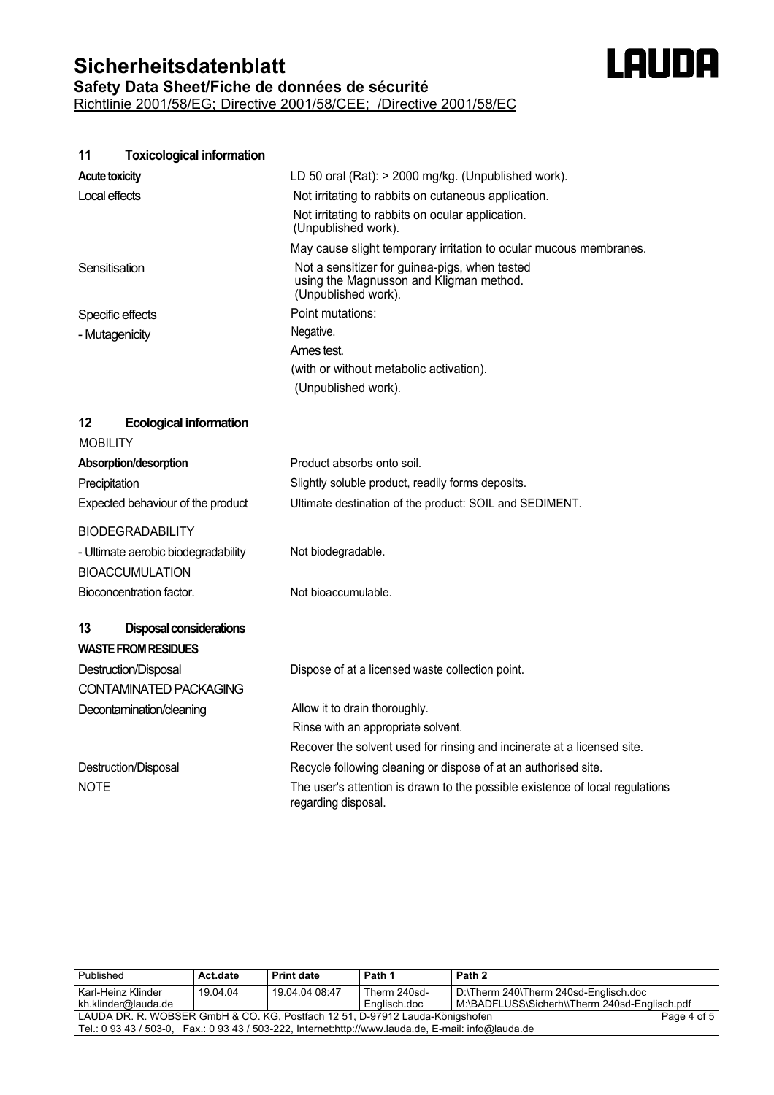## **Sicherheitsdatenblatt Safety Data Sheet/Fiche de données de sécurité** Richtlinie 2001/58/EG; Directive 2001/58/CEE; /Directive 2001/58/EC



**11 Toxicological information**

| <b>Acute toxicity</b>                | LD 50 oral (Rat): > 2000 mg/kg. (Unpublished work).                                                             |
|--------------------------------------|-----------------------------------------------------------------------------------------------------------------|
| Local effects                        | Not irritating to rabbits on cutaneous application.                                                             |
|                                      | Not irritating to rabbits on ocular application.<br>(Unpublished work).                                         |
|                                      | May cause slight temporary irritation to ocular mucous membranes.                                               |
| Sensitisation                        | Not a sensitizer for guinea-pigs, when tested<br>using the Magnusson and Kligman method.<br>(Unpublished work). |
| Specific effects                     | Point mutations:                                                                                                |
| - Mutagenicity                       | Negative.                                                                                                       |
|                                      | Ames test.                                                                                                      |
|                                      | (with or without metabolic activation).                                                                         |
|                                      | (Unpublished work).                                                                                             |
| 12<br><b>Ecological information</b>  |                                                                                                                 |
| <b>MOBILITY</b>                      |                                                                                                                 |
| Absorption/desorption                | Product absorbs onto soil.                                                                                      |
| Precipitation                        | Slightly soluble product, readily forms deposits.                                                               |
| Expected behaviour of the product    | Ultimate destination of the product: SOIL and SEDIMENT.                                                         |
| <b>BIODEGRADABILITY</b>              |                                                                                                                 |
| - Ultimate aerobic biodegradability  | Not biodegradable.                                                                                              |
| <b>BIOACCUMULATION</b>               |                                                                                                                 |
| Bioconcentration factor.             | Not bioaccumulable.                                                                                             |
|                                      |                                                                                                                 |
| 13<br><b>Disposal considerations</b> |                                                                                                                 |
| <b>WASTE FROM RESIDUES</b>           |                                                                                                                 |
| Destruction/Disposal                 | Dispose of at a licensed waste collection point.                                                                |
| <b>CONTAMINATED PACKAGING</b>        |                                                                                                                 |
| Decontamination/cleaning             | Allow it to drain thoroughly.                                                                                   |
|                                      | Rinse with an appropriate solvent.                                                                              |
|                                      | Recover the solvent used for rinsing and incinerate at a licensed site.                                         |
| Destruction/Disposal                 | Recycle following cleaning or dispose of at an authorised site.                                                 |
| <b>NOTE</b>                          | The user's attention is drawn to the possible existence of local regulations<br>regarding disposal.             |

| Published                                                                                           | Act.date | <b>Print date</b> | Path 1       | Path 2                                |                                               |
|-----------------------------------------------------------------------------------------------------|----------|-------------------|--------------|---------------------------------------|-----------------------------------------------|
| Karl-Heinz Klinder                                                                                  | 19.04.04 | 19.04.04.08:47    | Therm 240sd- | D:\Therm 240\Therm 240sd-Englisch.doc |                                               |
| kh.klinder@lauda.de                                                                                 |          |                   | Englisch.doc |                                       | M:\BADFLUSS\Sicherh\\Therm 240sd-Englisch.pdf |
| LAUDA DR. R. WOBSER GmbH & CO. KG, Postfach 12 51, D-97912 Lauda-Königshofen                        |          |                   |              |                                       | Page 4 of 5                                   |
| Tel.: 0 93 43 / 503-0, Fax.: 0 93 43 / 503-222, Internet:http://www.lauda.de, E-mail: info@lauda.de |          |                   |              |                                       |                                               |